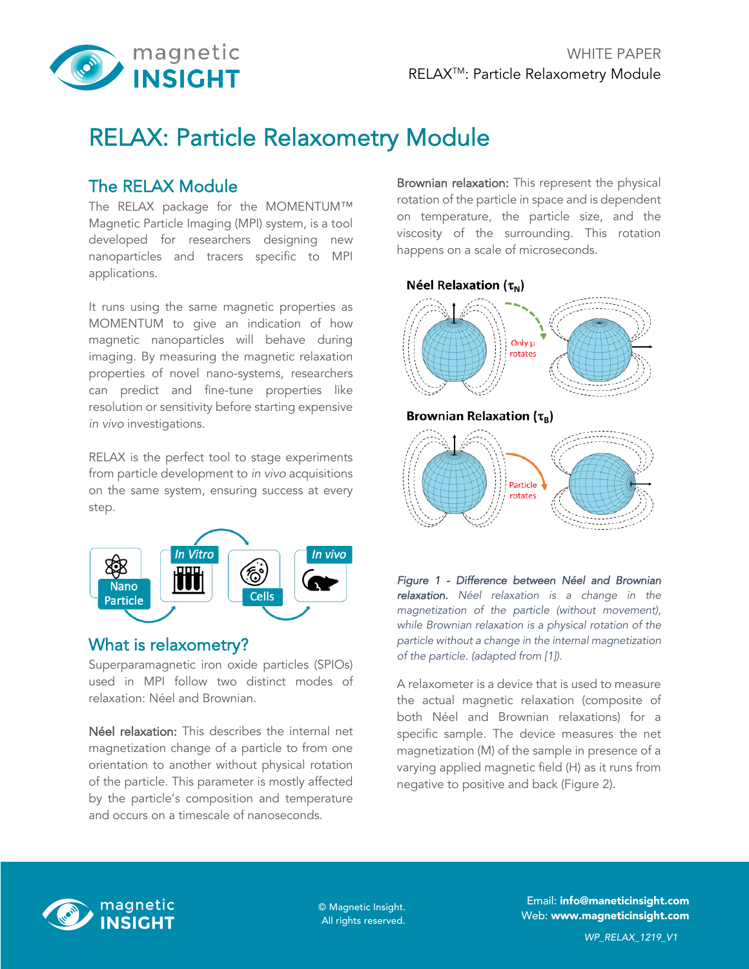

# RELAX: Particle Relaxometry Module

# The RELAX Module

The RELAX package for the MOMENTUM™ Magnetic Particle Imaging (MPI) system, is a tool developed for researchers designing new nanoparticles and tracers specific to MPI applications.

It runs using the same magnetic properties as MOMENTUM to give an indication of how magnetic nanoparticles will behave during imaging. By measuring the magnetic relaxation properties of novel nano-systems, researchers can predict and fine-tune properties like resolution or sensitivity before starting expensive *in vivo* investigations.

RELAX is the perfect tool to stage experiments from particle development to *in vivo* acquisitions on the same system, ensuring success at every step.



### What is relaxometry?

Superparamagnetic iron oxide particles (SPIOs) used in MPI follow two distinct modes of relaxation: Néel and Brownian.

Néel relaxation: This describes the internal net magnetization change of a particle to from one orientation to another without physical rotation of the particle. This parameter is mostly affected by the particle's composition and temperature and occurs on a timescale of nanoseconds.

Brownian relaxation: This represent the physical rotation of the particle in space and is dependent on temperature, the particle size, and the viscosity of the surrounding. This rotation happens on a scale of microseconds.



*Figure 1 - Difference between Néel and Brownian relaxation. Néel relaxation is a change in the magnetization of the particle (without movement), while Brownian relaxation is a physical rotation of the particle without a change in the internal magnetization of the particle. (adapted from [1]).*

A relaxometer is a device that is used to measure the actual magnetic relaxation (composite of both Néel and Brownian relaxations) for a specific sample. The device measures the net magnetization (M) of the sample in presence of a varying applied magnetic field (H) as it runs from negative to positive and back (Figure 2).



All rights reserved.

Email: info@maneticinsight.com © Magnetic Insight.<br>
Meb: www.magneticinsight.com © Magnetic Insight.com © Meb: www.magneticinsight.com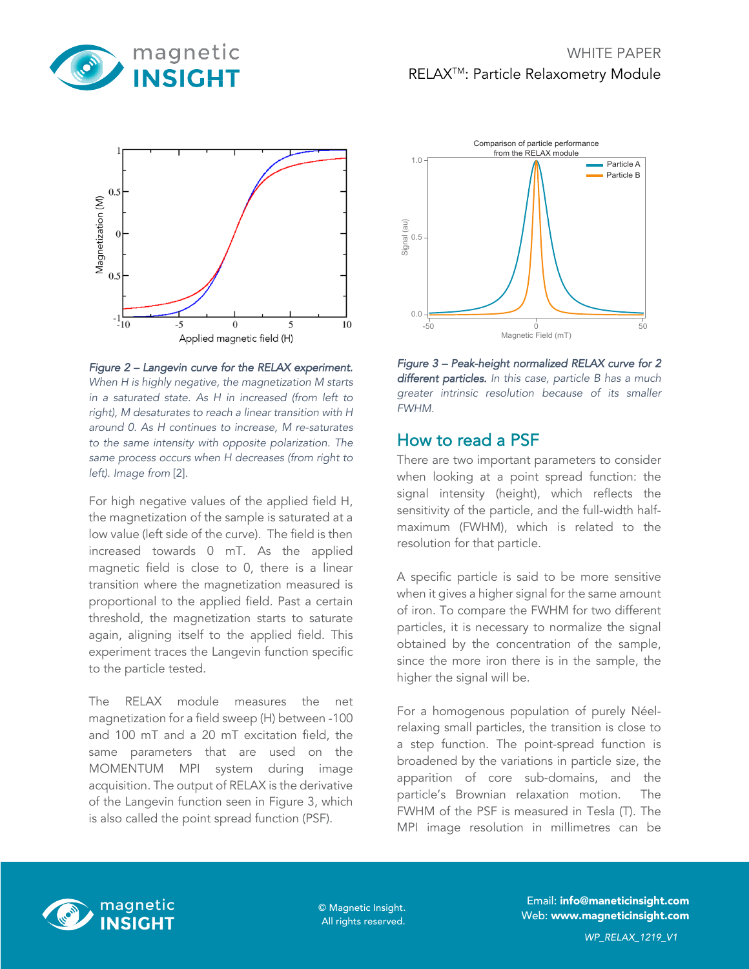



*Figure 2 – Langevin curve for the RELAX experiment. When H is highly negative, the magnetization M starts in a saturated state. As H in increased (from left to right), M desaturates to reach a linear transition with H around 0. As H continues to increase, M re-saturates to the same intensity with opposite polarization. The same process occurs when H decreases (from right to left). Image from* [2]*.*

For high negative values of the applied field H, the magnetization of the sample is saturated at a low value (left side of the curve). The field is then increased towards 0 mT. As the applied magnetic field is close to 0, there is a linear transition where the magnetization measured is proportional to the applied field. Past a certain threshold, the magnetization starts to saturate again, aligning itself to the applied field. This experiment traces the Langevin function specific to the particle tested.

The RELAX module measures the net magnetization for a field sweep (H) between -100 and 100 mT and a 20 mT excitation field, the same parameters that are used on the MOMENTUM MPI system during image acquisition. The output of RELAX is the derivative of the Langevin function seen in Figure 3, which is also called the point spread function (PSF).



*Figure 3 – Peak-height normalized RELAX curve for 2 different particles. In this case, particle B has a much greater intrinsic resolution because of its smaller FWHM.* 

## How to read a PSF

There are two important parameters to consider when looking at a point spread function: the signal intensity (height), which reflects the sensitivity of the particle, and the full-width halfmaximum (FWHM), which is related to the resolution for that particle.

A specific particle is said to be more sensitive when it gives a higher signal for the same amount of iron. To compare the FWHM for two different particles, it is necessary to normalize the signal obtained by the concentration of the sample, since the more iron there is in the sample, the higher the signal will be.

For a homogenous population of purely Néelrelaxing small particles, the transition is close to a step function. The point-spread function is broadened by the variations in particle size, the apparition of core sub-domains, and the particle's Brownian relaxation motion. The FWHM of the PSF is measured in Tesla (T). The MPI image resolution in millimetres can be



All rights reserved.

Email: info@maneticinsight.com © Magnetic Insight.<br>
Web: www.magneticinsight.com © Magnetic Insight.com © Meb: www.magneticinsight.com